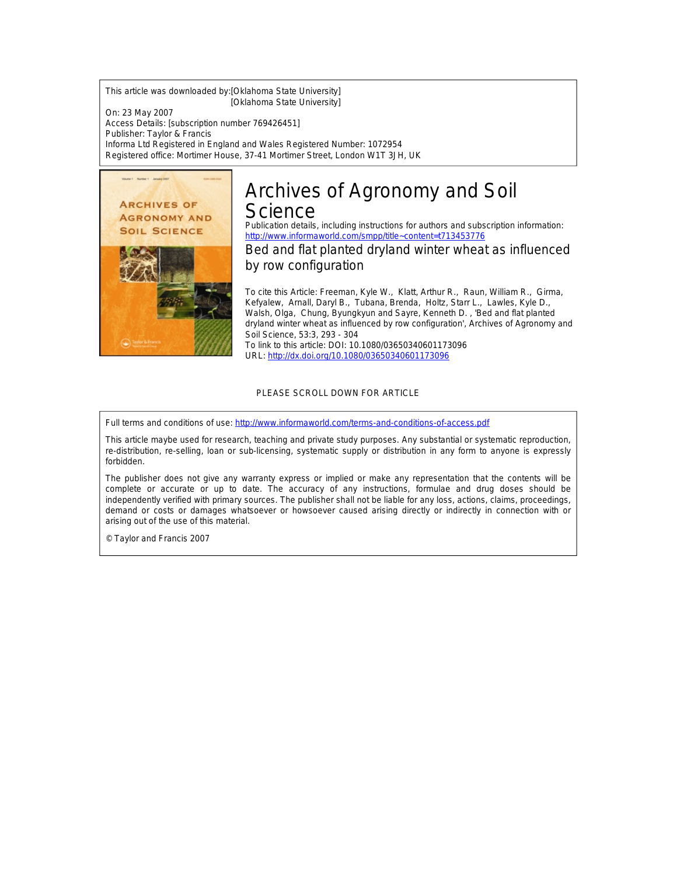This article was downloaded by:[Oklahoma State University] [Oklahoma State University]

On: 23 May 2007 Access Details: [subscription number 769426451] Publisher: Taylor & Francis Informa Ltd Registered in England and Wales Registered Number: 1072954 Registered office: Mortimer House, 37-41 Mortimer Street, London W1T 3JH, UK



# Archives of Agronomy and Soil **Science**

Publication details, including instructions for authors and subscription information: <http://www.informaworld.com/smpp/title~content=t713453776>

Bed and flat planted dryland winter wheat as influenced by row configuration

To cite this Article: Freeman, Kyle W., Klatt, Arthur R., Raun, William R., Girma, Kefyalew, Arnall, Daryl B., Tubana, Brenda, Holtz, Starr L., Lawles, Kyle D., Walsh, Olga, Chung, Byungkyun and Sayre, Kenneth D. , 'Bed and flat planted dryland winter wheat as influenced by row configuration', Archives of Agronomy and Soil Science, 53:3, 293 - 304 To link to this article: DOI: 10.1080/03650340601173096 URL: <http://dx.doi.org/10.1080/03650340601173096>

### PLEASE SCROLL DOWN FOR ARTICLE

Full terms and conditions of use: <http://www.informaworld.com/terms-and-conditions-of-access.pdf>

This article maybe used for research, teaching and private study purposes. Any substantial or systematic reproduction, re-distribution, re-selling, loan or sub-licensing, systematic supply or distribution in any form to anyone is expressly forbidden.

The publisher does not give any warranty express or implied or make any representation that the contents will be complete or accurate or up to date. The accuracy of any instructions, formulae and drug doses should be independently verified with primary sources. The publisher shall not be liable for any loss, actions, claims, proceedings, demand or costs or damages whatsoever or howsoever caused arising directly or indirectly in connection with or arising out of the use of this material.

© Taylor and Francis 2007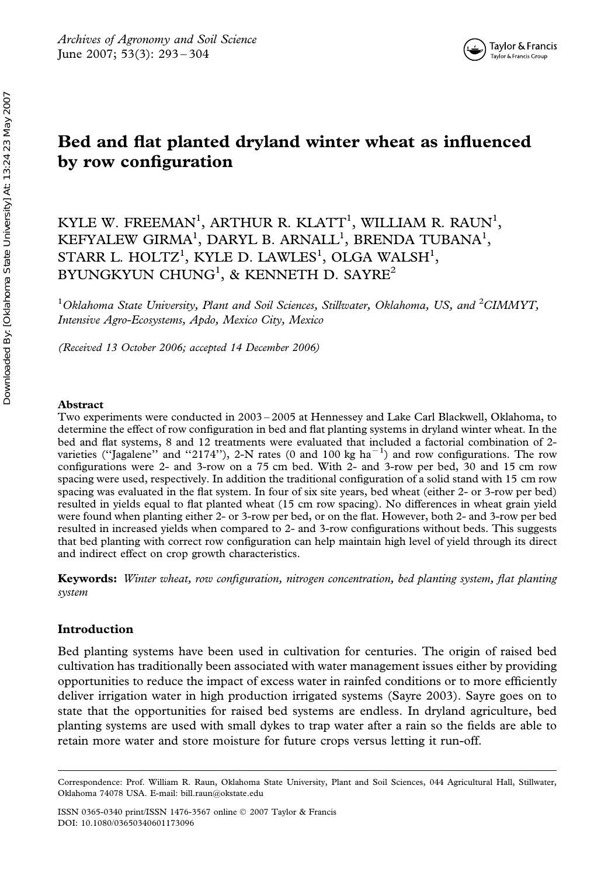

# Bed and flat planted dryland winter wheat as influenced by row configuration

# KYLE W. FREEMAN<sup>1</sup>, ARTHUR R. KLATT<sup>1</sup>, WILLIAM R. RAUN<sup>1</sup>, KEFYALEW GIRMA<sup>1</sup>, DARYL B. ARNALL<sup>1</sup>, BRENDA TUBANA<sup>1</sup>, STARR L. HOLTZ<sup>1</sup>, KYLE D. LAWLES<sup>1</sup>, OLGA WALSH<sup>1</sup>, BYUNGKYUN CHUNG<sup>1</sup>, & KENNETH D. SAYRE<sup>2</sup>

 $^1$ Oklahoma State University, Plant and Soil Sciences, Stillwater, Oklahoma, US, and  $^2$ CIMMYT, Intensive Agro-Ecosystems, Apdo, Mexico City, Mexico

(Received 13 October 2006; accepted 14 December 2006)

## Abstract

Two experiments were conducted in 2003 – 2005 at Hennessey and Lake Carl Blackwell, Oklahoma, to determine the effect of row configuration in bed and flat planting systems in dryland winter wheat. In the bed and flat systems, 8 and 12 treatments were evaluated that included a factorial combination of 2 varieties ("Jagalene" and "2174"), 2-N rates (0 and 100 kg ha<sup>-1</sup>) and row configurations. The row configurations were 2- and 3-row on a 75 cm bed. With 2- and 3-row per bed, 30 and 15 cm row spacing were used, respectively. In addition the traditional configuration of a solid stand with 15 cm row spacing was evaluated in the flat system. In four of six site years, bed wheat (either 2- or 3-row per bed) resulted in yields equal to flat planted wheat (15 cm row spacing). No differences in wheat grain yield were found when planting either 2- or 3-row per bed, or on the flat. However, both 2- and 3-row per bed resulted in increased yields when compared to 2- and 3-row configurations without beds. This suggests that bed planting with correct row configuration can help maintain high level of yield through its direct and indirect effect on crop growth characteristics.

Keywords: Winter wheat, row configuration, nitrogen concentration, bed planting system, flat planting system

# Introduction

Bed planting systems have been used in cultivation for centuries. The origin of raised bed cultivation has traditionally been associated with water management issues either by providing opportunities to reduce the impact of excess water in rainfed conditions or to more efficiently deliver irrigation water in high production irrigated systems (Sayre 2003). Sayre goes on to state that the opportunities for raised bed systems are endless. In dryland agriculture, bed planting systems are used with small dykes to trap water after a rain so the fields are able to retain more water and store moisture for future crops versus letting it run-off.

Correspondence: Prof. William R. Raun, Oklahoma State University, Plant and Soil Sciences, 044 Agricultural Hall, Stillwater, Oklahoma 74078 USA. E-mail: bill.raun@okstate.edu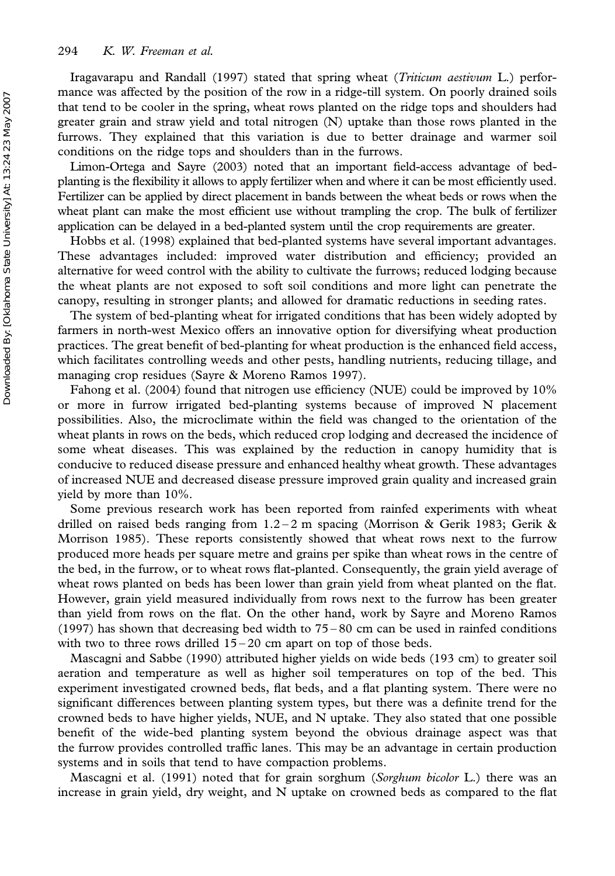Iragavarapu and Randall (1997) stated that spring wheat (*Triticum aestivum* L.) performance was affected by the position of the row in a ridge-till system. On poorly drained soils that tend to be cooler in the spring, wheat rows planted on the ridge tops and shoulders had greater grain and straw yield and total nitrogen (N) uptake than those rows planted in the furrows. They explained that this variation is due to better drainage and warmer soil conditions on the ridge tops and shoulders than in the furrows.

Limon-Ortega and Sayre (2003) noted that an important field-access advantage of bedplanting is the flexibility it allows to apply fertilizer when and where it can be most efficiently used. Fertilizer can be applied by direct placement in bands between the wheat beds or rows when the wheat plant can make the most efficient use without trampling the crop. The bulk of fertilizer application can be delayed in a bed-planted system until the crop requirements are greater.

Hobbs et al. (1998) explained that bed-planted systems have several important advantages. These advantages included: improved water distribution and efficiency; provided an alternative for weed control with the ability to cultivate the furrows; reduced lodging because the wheat plants are not exposed to soft soil conditions and more light can penetrate the canopy, resulting in stronger plants; and allowed for dramatic reductions in seeding rates.

The system of bed-planting wheat for irrigated conditions that has been widely adopted by farmers in north-west Mexico offers an innovative option for diversifying wheat production practices. The great benefit of bed-planting for wheat production is the enhanced field access, which facilitates controlling weeds and other pests, handling nutrients, reducing tillage, and managing crop residues (Sayre & Moreno Ramos 1997).

Fahong et al. (2004) found that nitrogen use efficiency (NUE) could be improved by 10% or more in furrow irrigated bed-planting systems because of improved N placement possibilities. Also, the microclimate within the field was changed to the orientation of the wheat plants in rows on the beds, which reduced crop lodging and decreased the incidence of some wheat diseases. This was explained by the reduction in canopy humidity that is conducive to reduced disease pressure and enhanced healthy wheat growth. These advantages of increased NUE and decreased disease pressure improved grain quality and increased grain yield by more than 10%.

Some previous research work has been reported from rainfed experiments with wheat drilled on raised beds ranging from  $1.2 - 2$  m spacing (Morrison & Gerik 1983; Gerik & Morrison 1985). These reports consistently showed that wheat rows next to the furrow produced more heads per square metre and grains per spike than wheat rows in the centre of the bed, in the furrow, or to wheat rows flat-planted. Consequently, the grain yield average of wheat rows planted on beds has been lower than grain yield from wheat planted on the flat. However, grain yield measured individually from rows next to the furrow has been greater than yield from rows on the flat. On the other hand, work by Sayre and Moreno Ramos  $(1997)$  has shown that decreasing bed width to  $75-80$  cm can be used in rainfed conditions with two to three rows drilled  $15 - 20$  cm apart on top of those beds.

Mascagni and Sabbe (1990) attributed higher yields on wide beds (193 cm) to greater soil aeration and temperature as well as higher soil temperatures on top of the bed. This experiment investigated crowned beds, flat beds, and a flat planting system. There were no significant differences between planting system types, but there was a definite trend for the crowned beds to have higher yields, NUE, and N uptake. They also stated that one possible benefit of the wide-bed planting system beyond the obvious drainage aspect was that the furrow provides controlled traffic lanes. This may be an advantage in certain production systems and in soils that tend to have compaction problems.

Mascagni et al. (1991) noted that for grain sorghum (Sorghum bicolor L.) there was an increase in grain yield, dry weight, and N uptake on crowned beds as compared to the flat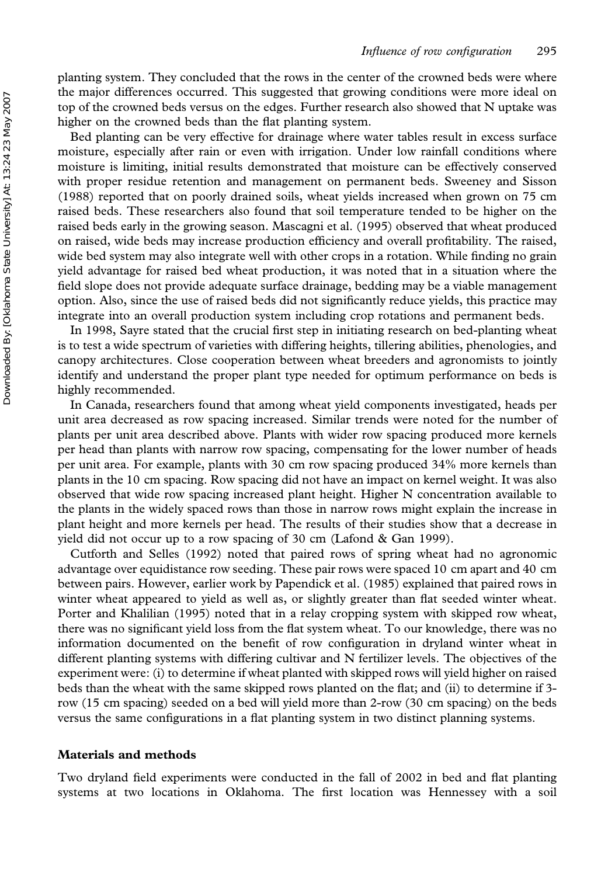planting system. They concluded that the rows in the center of the crowned beds were where the major differences occurred. This suggested that growing conditions were more ideal on top of the crowned beds versus on the edges. Further research also showed that N uptake was higher on the crowned beds than the flat planting system.

Bed planting can be very effective for drainage where water tables result in excess surface moisture, especially after rain or even with irrigation. Under low rainfall conditions where moisture is limiting, initial results demonstrated that moisture can be effectively conserved with proper residue retention and management on permanent beds. Sweeney and Sisson (1988) reported that on poorly drained soils, wheat yields increased when grown on 75 cm raised beds. These researchers also found that soil temperature tended to be higher on the raised beds early in the growing season. Mascagni et al. (1995) observed that wheat produced on raised, wide beds may increase production efficiency and overall profitability. The raised, wide bed system may also integrate well with other crops in a rotation. While finding no grain yield advantage for raised bed wheat production, it was noted that in a situation where the field slope does not provide adequate surface drainage, bedding may be a viable management option. Also, since the use of raised beds did not significantly reduce yields, this practice may integrate into an overall production system including crop rotations and permanent beds.

In 1998, Sayre stated that the crucial first step in initiating research on bed-planting wheat is to test a wide spectrum of varieties with differing heights, tillering abilities, phenologies, and canopy architectures. Close cooperation between wheat breeders and agronomists to jointly identify and understand the proper plant type needed for optimum performance on beds is highly recommended.

In Canada, researchers found that among wheat yield components investigated, heads per unit area decreased as row spacing increased. Similar trends were noted for the number of plants per unit area described above. Plants with wider row spacing produced more kernels per head than plants with narrow row spacing, compensating for the lower number of heads per unit area. For example, plants with 30 cm row spacing produced 34% more kernels than plants in the 10 cm spacing. Row spacing did not have an impact on kernel weight. It was also observed that wide row spacing increased plant height. Higher N concentration available to the plants in the widely spaced rows than those in narrow rows might explain the increase in plant height and more kernels per head. The results of their studies show that a decrease in yield did not occur up to a row spacing of 30 cm (Lafond & Gan 1999).

Cutforth and Selles (1992) noted that paired rows of spring wheat had no agronomic advantage over equidistance row seeding. These pair rows were spaced 10 cm apart and 40 cm between pairs. However, earlier work by Papendick et al. (1985) explained that paired rows in winter wheat appeared to yield as well as, or slightly greater than flat seeded winter wheat. Porter and Khalilian (1995) noted that in a relay cropping system with skipped row wheat, there was no significant yield loss from the flat system wheat. To our knowledge, there was no information documented on the benefit of row configuration in dryland winter wheat in different planting systems with differing cultivar and N fertilizer levels. The objectives of the experiment were: (i) to determine if wheat planted with skipped rows will yield higher on raised beds than the wheat with the same skipped rows planted on the flat; and (ii) to determine if 3 row (15 cm spacing) seeded on a bed will yield more than 2-row (30 cm spacing) on the beds versus the same configurations in a flat planting system in two distinct planning systems.

#### Materials and methods

Two dryland field experiments were conducted in the fall of 2002 in bed and flat planting systems at two locations in Oklahoma. The first location was Hennessey with a soil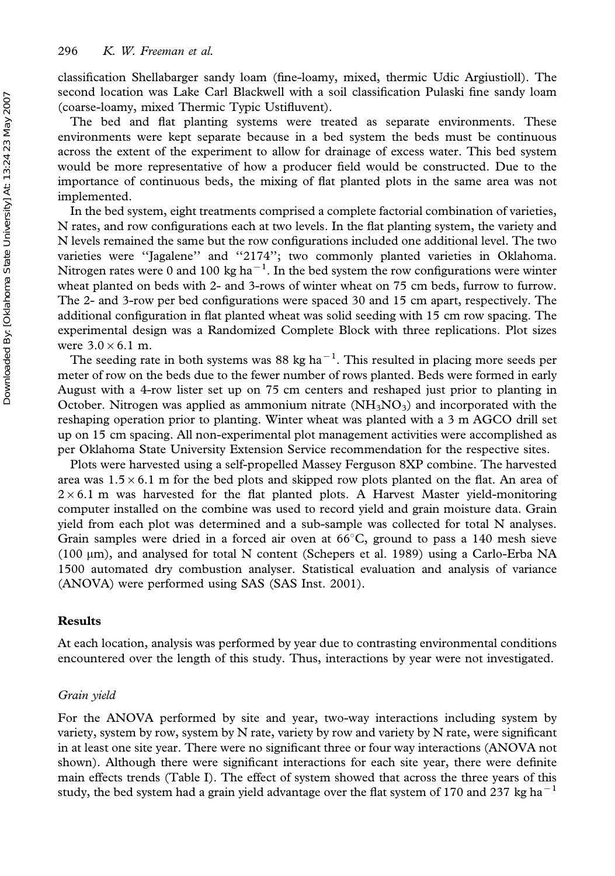classification Shellabarger sandy loam (fine-loamy, mixed, thermic Udic Argiustioll). The second location was Lake Carl Blackwell with a soil classification Pulaski fine sandy loam (coarse-loamy, mixed Thermic Typic Ustifluvent).

The bed and flat planting systems were treated as separate environments. These environments were kept separate because in a bed system the beds must be continuous across the extent of the experiment to allow for drainage of excess water. This bed system would be more representative of how a producer field would be constructed. Due to the importance of continuous beds, the mixing of flat planted plots in the same area was not implemented.

In the bed system, eight treatments comprised a complete factorial combination of varieties, N rates, and row configurations each at two levels. In the flat planting system, the variety and N levels remained the same but the row configurations included one additional level. The two varieties were ''Jagalene'' and ''2174''; two commonly planted varieties in Oklahoma. Nitrogen rates were 0 and 100 kg ha<sup> $-1$ </sup>. In the bed system the row configurations were winter wheat planted on beds with 2- and 3-rows of winter wheat on 75 cm beds, furrow to furrow. The 2- and 3-row per bed configurations were spaced 30 and 15 cm apart, respectively. The additional configuration in flat planted wheat was solid seeding with 15 cm row spacing. The experimental design was a Randomized Complete Block with three replications. Plot sizes were  $3.0 \times 6.1$  m.

The seeding rate in both systems was 88 kg ha<sup> $-1$ </sup>. This resulted in placing more seeds per meter of row on the beds due to the fewer number of rows planted. Beds were formed in early August with a 4-row lister set up on 75 cm centers and reshaped just prior to planting in October. Nitrogen was applied as ammonium nitrate  $(NH_3NO_3)$  and incorporated with the reshaping operation prior to planting. Winter wheat was planted with a 3 m AGCO drill set up on 15 cm spacing. All non-experimental plot management activities were accomplished as per Oklahoma State University Extension Service recommendation for the respective sites.

Plots were harvested using a self-propelled Massey Ferguson 8XP combine. The harvested area was  $1.5 \times 6.1$  m for the bed plots and skipped row plots planted on the flat. An area of  $2\times6.1$  m was harvested for the flat planted plots. A Harvest Master yield-monitoring computer installed on the combine was used to record yield and grain moisture data. Grain yield from each plot was determined and a sub-sample was collected for total N analyses. Grain samples were dried in a forced air oven at  $66^{\circ}$ C, ground to pass a 140 mesh sieve (100  $\mu$ m), and analysed for total N content (Schepers et al. 1989) using a Carlo-Erba NA 1500 automated dry combustion analyser. Statistical evaluation and analysis of variance (ANOVA) were performed using SAS (SAS Inst. 2001).

#### Results

At each location, analysis was performed by year due to contrasting environmental conditions encountered over the length of this study. Thus, interactions by year were not investigated.

#### Grain yield

For the ANOVA performed by site and year, two-way interactions including system by variety, system by row, system by N rate, variety by row and variety by N rate, were significant in at least one site year. There were no significant three or four way interactions (ANOVA not shown). Although there were significant interactions for each site year, there were definite main effects trends (Table I). The effect of system showed that across the three years of this study, the bed system had a grain yield advantage over the flat system of 170 and 237 kg ha<sup>-1</sup>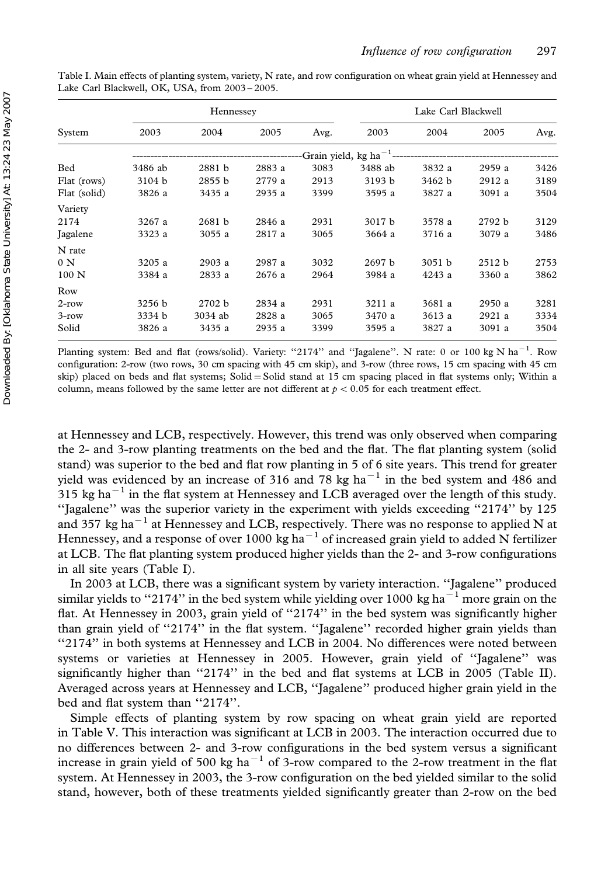|              |         | Hennessey |        |      | Lake Carl Blackwell        |        |        |      |  |  |
|--------------|---------|-----------|--------|------|----------------------------|--------|--------|------|--|--|
| System       | 2003    | 2004      | 2005   | Avg. | 2003                       | 2004   | 2005   | Avg. |  |  |
|              |         |           |        |      | Grain yield, kg ha $^{-1}$ |        |        |      |  |  |
| Bed          | 3486 ab | 2881 b    | 2883 a | 3083 | 3488 ab                    | 3832 a | 2959 a | 3426 |  |  |
| Flat (rows)  | 3104 b  | 2855 b    | 2779 a | 2913 | 3193 b                     | 3462 b | 2912 a | 3189 |  |  |
| Flat (solid) | 3826 a  | 3435 a    | 2935 a | 3399 | 3595 a                     | 3827 a | 3091 a | 3504 |  |  |
| Variety      |         |           |        |      |                            |        |        |      |  |  |
| 2174         | 3267 a  | 2681 b    | 2846 a | 2931 | 3017 b                     | 3578 a | 2792 b | 3129 |  |  |
| Jagalene     | 3323 a  | 3055 a    | 2817 a | 3065 | 3664 a                     | 3716 a | 3079 a | 3486 |  |  |
| N rate       |         |           |        |      |                            |        |        |      |  |  |
| 0 N          | 3205 a  | 2903 a    | 2987 a | 3032 | 2697h                      | 3051 b | 2512 b | 2753 |  |  |
| 100 N        | 3384 a  | 2833 a    | 2676 a | 2964 | 3984 a                     | 4243 a | 3360 a | 3862 |  |  |
| Row          |         |           |        |      |                            |        |        |      |  |  |
| $2$ -row     | 3256 b  | 2702 b    | 2834 a | 2931 | 3211 a                     | 3681 a | 2950 a | 3281 |  |  |
| $3$ -row     | 3334 b  | 3034 ab   | 2828 a | 3065 | 3470 a                     | 3613 a | 2921 a | 3334 |  |  |
| Solid        | 3826 a  | 3435 a    | 2935 a | 3399 | 3595 a                     | 3827 a | 3091 a | 3504 |  |  |

Table I. Main effects of planting system, variety, N rate, and row configuration on wheat grain yield at Hennessey and Lake Carl Blackwell, OK, USA, from 2003 – 2005.

Planting system: Bed and flat (rows/solid). Variety: "2174" and "Jagalene". N rate: 0 or 100 kg N ha<sup>-1</sup>. Row configuration: 2-row (two rows, 30 cm spacing with 45 cm skip), and 3-row (three rows, 15 cm spacing with 45 cm skip) placed on beds and flat systems; Solid = Solid stand at 15 cm spacing placed in flat systems only; Within a column, means followed by the same letter are not different at  $p<0.05$  for each treatment effect.

at Hennessey and LCB, respectively. However, this trend was only observed when comparing the 2- and 3-row planting treatments on the bed and the flat. The flat planting system (solid stand) was superior to the bed and flat row planting in 5 of 6 site years. This trend for greater yield was evidenced by an increase of 316 and 78 kg ha<sup>-1</sup> in the bed system and 486 and 315 kg ha<sup> $-1$ </sup> in the flat system at Hennessey and LCB averaged over the length of this study. ''Jagalene'' was the superior variety in the experiment with yields exceeding ''2174'' by 125 and 357 kg ha $^{-1}$  at Hennessey and LCB, respectively. There was no response to applied N at Hennessey, and a response of over 1000 kg ha<sup> $-1$ </sup> of increased grain yield to added N fertilizer at LCB. The flat planting system produced higher yields than the 2- and 3-row configurations in all site years (Table I).

In 2003 at LCB, there was a significant system by variety interaction. ''Jagalene'' produced similar yields to "2174" in the bed system while yielding over 1000 kg ha<sup> $-1$ </sup> more grain on the flat. At Hennessey in 2003, grain yield of "2174" in the bed system was significantly higher than grain yield of ''2174'' in the flat system. ''Jagalene'' recorded higher grain yields than ''2174'' in both systems at Hennessey and LCB in 2004. No differences were noted between systems or varieties at Hennessey in 2005. However, grain yield of ''Jagalene'' was significantly higher than "2174" in the bed and flat systems at LCB in 2005 (Table II). Averaged across years at Hennessey and LCB, ''Jagalene'' produced higher grain yield in the bed and flat system than ''2174''.

Simple effects of planting system by row spacing on wheat grain yield are reported in Table V. This interaction was significant at LCB in 2003. The interaction occurred due to no differences between 2- and 3-row configurations in the bed system versus a significant increase in grain yield of 500 kg ha<sup> $-1$ </sup> of 3-row compared to the 2-row treatment in the flat system. At Hennessey in 2003, the 3-row configuration on the bed yielded similar to the solid stand, however, both of these treatments yielded significantly greater than 2-row on the bed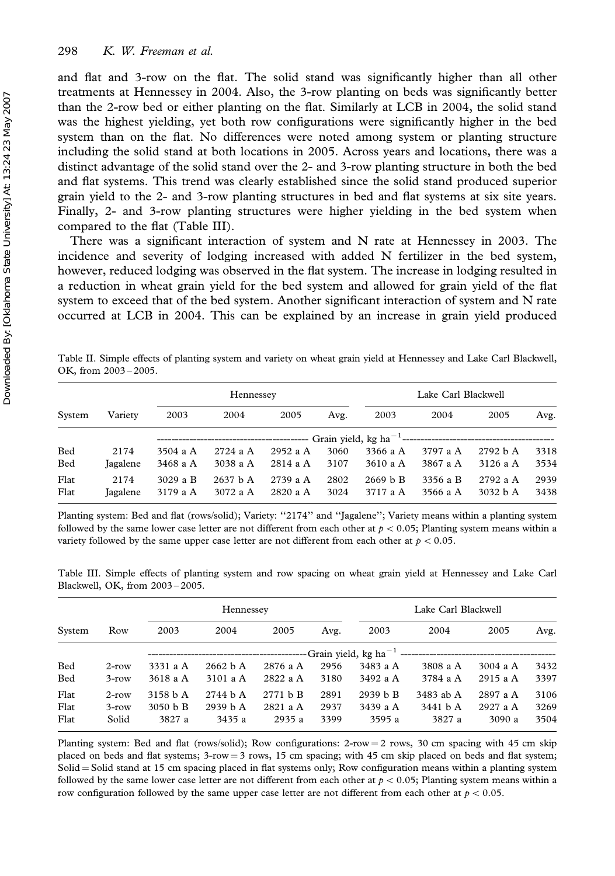and flat and 3-row on the flat. The solid stand was significantly higher than all other treatments at Hennessey in 2004. Also, the 3-row planting on beds was significantly better than the 2-row bed or either planting on the flat. Similarly at LCB in 2004, the solid stand was the highest yielding, yet both row configurations were significantly higher in the bed system than on the flat. No differences were noted among system or planting structure including the solid stand at both locations in 2005. Across years and locations, there was a distinct advantage of the solid stand over the 2- and 3-row planting structure in both the bed and flat systems. This trend was clearly established since the solid stand produced superior grain yield to the 2- and 3-row planting structures in bed and flat systems at six site years. Finally, 2- and 3-row planting structures were higher yielding in the bed system when compared to the flat (Table III).

There was a significant interaction of system and N rate at Hennessey in 2003. The incidence and severity of lodging increased with added N fertilizer in the bed system, however, reduced lodging was observed in the flat system. The increase in lodging resulted in a reduction in wheat grain yield for the bed system and allowed for grain yield of the flat system to exceed that of the bed system. Another significant interaction of system and N rate occurred at LCB in 2004. This can be explained by an increase in grain yield produced

|                     |  | Table II. Simple effects of planting system and variety on wheat grain yield at Hennessey and Lake Carl Blackwell, |  |  |  |  |  |  |  |
|---------------------|--|--------------------------------------------------------------------------------------------------------------------|--|--|--|--|--|--|--|
| OK, from 2003-2005. |  |                                                                                                                    |  |  |  |  |  |  |  |

|              |                  |                       | Hennessey            |                      |              |                      | Lake Carl Blackwell  |                      |              |  |  |  |  |
|--------------|------------------|-----------------------|----------------------|----------------------|--------------|----------------------|----------------------|----------------------|--------------|--|--|--|--|
| System       | Variety          | 2003                  | 2004                 | 2005                 | Avg.         | 2003                 | 2004                 | 2005                 | Avg.         |  |  |  |  |
|              |                  |                       |                      |                      |              |                      |                      |                      |              |  |  |  |  |
| Bed          | 2174             | 3504 a A              | 2724 a A             | 2952aA               | 3060         | 3366 a A             | 3797 a A             | 2792 b A             | 3318         |  |  |  |  |
| Bed          | Jagalene         | 3468 a A              | 3038 a A             | 2814 a A             | 3107         | 3610 a A             | 3867 a A             | 3126 a A             | 3534         |  |  |  |  |
| Flat<br>Flat | 2174<br>Jagalene | $3029a$ B<br>3179 a A | 2637 b A<br>3072 a A | 2739 a A<br>2820 a A | 2802<br>3024 | 2669 h B<br>3717 a A | 3356 a B<br>3566 a A | 2792 a A<br>3032 b A | 2939<br>3438 |  |  |  |  |

Planting system: Bed and flat (rows/solid); Variety: ''2174'' and ''Jagalene''; Variety means within a planting system followed by the same lower case letter are not different from each other at  $p < 0.05$ ; Planting system means within a variety followed by the same upper case letter are not different from each other at  $p<0.05$ .

Table III. Simple effects of planting system and row spacing on wheat grain yield at Hennessey and Lake Carl Blackwell, OK, from 2003 – 2005.

|            |          |          | Hennessey |          |      | Lake Carl Blackwell |           |          |      |
|------------|----------|----------|-----------|----------|------|---------------------|-----------|----------|------|
| System     | Row      | 2003     | 2004      | 2005     | Avg. | 2003                | 2004      | 2005     | Avg. |
|            |          |          |           |          |      |                     |           |          |      |
| <b>Bed</b> | $2$ -row | 3331 a A | 2662 b A  | 2876 a A | 2956 | 3483 a A            | 3808 a A  | 3004 a A | 3432 |
| <b>Bed</b> | $3$ -row | 3618 a A | 3101 a A  | 2822 a A | 3180 | 3492 a A            | 3784 a A  | 2915 a A | 3397 |
| Flat       | $2$ -row | 3158hA   | 2744hA    | 2771hB   | 2891 | 2939 h B            | 3483 ab A | 2897 a A | 3106 |
| Flat       | $3$ -row | 3050 h B | 2939hA    | 2821 a A | 2937 | 3439 a A            | 3441 b A  | 2927 a A | 3269 |
| Flat       | Solid    | 3827 a   | 3435 a    | 2935a    | 3399 | 3595 a              | 3827 a    | 3090 a   | 3504 |

Planting system: Bed and flat (rows/solid); Row configurations:  $2$ -row  $= 2$  rows, 30 cm spacing with 45 cm skip placed on beds and flat systems;  $3$ -row = 3 rows, 15 cm spacing; with 45 cm skip placed on beds and flat system; Solid  $=$  Solid stand at 15 cm spacing placed in flat systems only; Row configuration means within a planting system followed by the same lower case letter are not different from each other at  $p<0.05$ ; Planting system means within a row configuration followed by the same upper case letter are not different from each other at  $p < 0.05$ .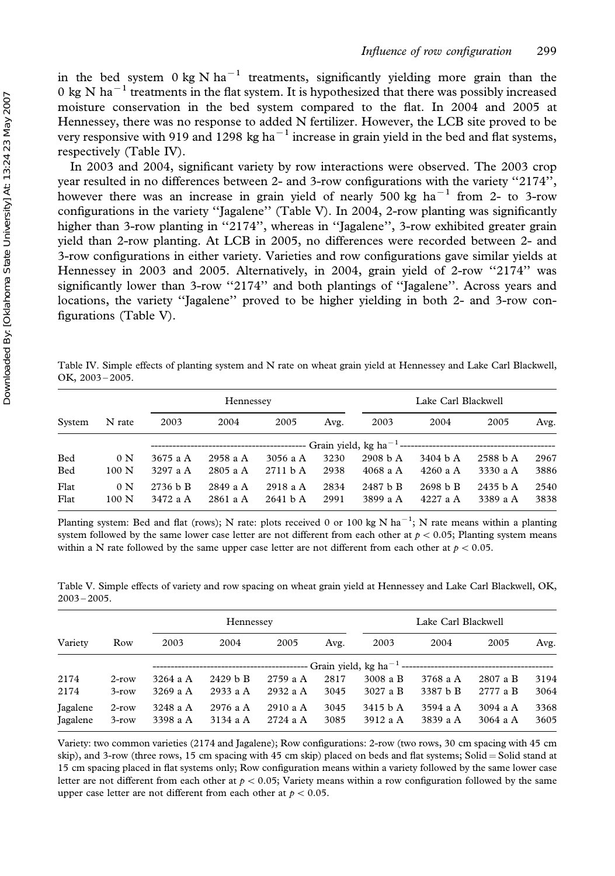in the bed system  $0 \text{ kg N ha}^{-1}$  treatments, significantly yielding more grain than the 0 kg N ha<sup> $-1$ </sup> treatments in the flat system. It is hypothesized that there was possibly increased moisture conservation in the bed system compared to the flat. In 2004 and 2005 at Hennessey, there was no response to added N fertilizer. However, the LCB site proved to be very responsive with 919 and 1298 kg ha<sup> $-1$ </sup> increase in grain yield in the bed and flat systems, respectively (Table IV).

In 2003 and 2004, significant variety by row interactions were observed. The 2003 crop year resulted in no differences between 2- and 3-row configurations with the variety ''2174'', however there was an increase in grain yield of nearly 500 kg  $ha^{-1}$  from 2- to 3-row configurations in the variety ''Jagalene'' (Table V). In 2004, 2-row planting was significantly higher than 3-row planting in "2174", whereas in "Jagalene", 3-row exhibited greater grain yield than 2-row planting. At LCB in 2005, no differences were recorded between 2- and 3-row configurations in either variety. Varieties and row configurations gave similar yields at Hennessey in 2003 and 2005. Alternatively, in 2004, grain yield of 2-row "2174" was significantly lower than 3-row ''2174'' and both plantings of ''Jagalene''. Across years and locations, the variety ''Jagalene'' proved to be higher yielding in both 2- and 3-row configurations (Table V).

Table IV. Simple effects of planting system and N rate on wheat grain yield at Hennessey and Lake Carl Blackwell, OK, 2003 – 2005.

| System       |              |                     | Hennessey            |                      |              | Lake Carl Blackwell  |                   |                    |              |
|--------------|--------------|---------------------|----------------------|----------------------|--------------|----------------------|-------------------|--------------------|--------------|
|              | N rate       | 2003                | 2004                 | 2005                 | Avg.         | 2003                 | 2004              | 2005               | Avg.         |
|              |              |                     |                      |                      |              |                      |                   |                    |              |
| Bed          | 0 N          | 3675aA              | 2958 a A             | 3056 a A             | 3230         | 2908 b A             | 3404 b A          | 2588 b A           | 2967         |
| Bed          | 100 N        | 3297 a A            | 2805 a A             | 2711 b A             | 2938         | 4068 a A             | $4260$ a A        | 3330 a A           | 3886         |
| Flat<br>Flat | 0 N<br>100 N | 2736h B<br>3472 a A | 2849 a A<br>2861 a A | 2918 a A<br>2641 b A | 2834<br>2991 | 2487 b B<br>3899 a A | 2698h B<br>4227aA | 2435hA<br>3389 a A | 2540<br>3838 |

Planting system: Bed and flat (rows); N rate: plots received 0 or 100 kg N ha<sup>-1</sup>; N rate means within a planting system followed by the same lower case letter are not different from each other at  $p<0.05$ ; Planting system means within a N rate followed by the same upper case letter are not different from each other at  $p < 0.05$ .

Table V. Simple effects of variety and row spacing on wheat grain yield at Hennessey and Lake Carl Blackwell, OK,  $2003 - 2005$ .

|                      |                   |                      | Hennessey            |                      |              |                      | Lake Carl Blackwell  |                        |              |
|----------------------|-------------------|----------------------|----------------------|----------------------|--------------|----------------------|----------------------|------------------------|--------------|
| Variety              | Row               | 2003                 | 2004                 | 2005                 | Avg.         | 2003                 | 2004                 | 2005                   | Avg.         |
|                      |                   |                      |                      |                      |              |                      |                      |                        |              |
| 2174                 | $2$ -row          | 3264 a A             | 2429 b B             | 2759 a A             | 2817         | 3008 a B             | 3768 a A             | 2807 a B               | 3194         |
| 2174                 | $3$ -row          | 3269 a A             | 2933 a A             | 2932 a A             | 3045         | $3027$ a B           | 3387 b B             | 2777 a B               | 3064         |
| Jagalene<br>Jagalene | 2-row<br>$3$ -row | 3248 a A<br>3398 a A | 2976 a A<br>3134 a A | 2910 a A<br>2724 a A | 3045<br>3085 | 3415 b A<br>3912 a A | 3594 a A<br>3839 a A | 3094 a A<br>$3064$ a A | 3368<br>3605 |

Variety: two common varieties (2174 and Jagalene); Row configurations: 2-row (two rows, 30 cm spacing with 45 cm skip), and 3-row (three rows, 15 cm spacing with 45 cm skip) placed on beds and flat systems; Solid = Solid stand at 15 cm spacing placed in flat systems only; Row configuration means within a variety followed by the same lower case letter are not different from each other at  $p < 0.05$ ; Variety means within a row configuration followed by the same upper case letter are not different from each other at  $p<0.05$ .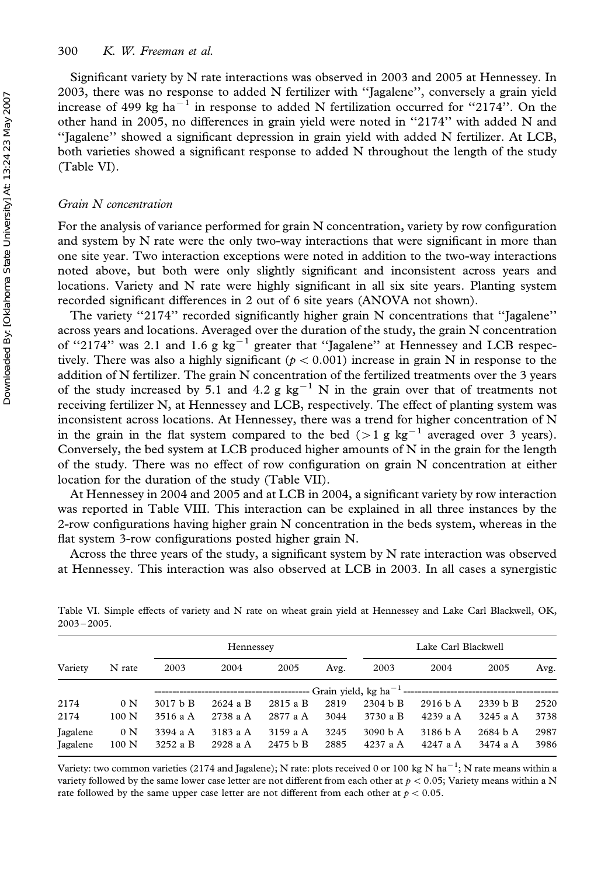Significant variety by N rate interactions was observed in 2003 and 2005 at Hennessey. In 2003, there was no response to added N fertilizer with ''Jagalene'', conversely a grain yield increase of 499 kg ha<sup> $-1$ </sup> in response to added N fertilization occurred for "2174". On the other hand in 2005, no differences in grain yield were noted in "2174" with added N and ''Jagalene'' showed a significant depression in grain yield with added N fertilizer. At LCB, both varieties showed a significant response to added N throughout the length of the study (Table VI).

#### Grain N concentration

For the analysis of variance performed for grain N concentration, variety by row configuration and system by N rate were the only two-way interactions that were significant in more than one site year. Two interaction exceptions were noted in addition to the two-way interactions noted above, but both were only slightly significant and inconsistent across years and locations. Variety and N rate were highly significant in all six site years. Planting system recorded significant differences in 2 out of 6 site years (ANOVA not shown).

The variety "2174" recorded significantly higher grain N concentrations that "Jagalene" across years and locations. Averaged over the duration of the study, the grain N concentration of "2174" was 2.1 and 1.6 g  $kg^{-1}$  greater that "Jagalene" at Hennessey and LCB respectively. There was also a highly significant ( $p < 0.001$ ) increase in grain N in response to the addition of N fertilizer. The grain N concentration of the fertilized treatments over the 3 years of the study increased by 5.1 and 4.2 g  $kg^{-1}$  N in the grain over that of treatments not receiving fertilizer N, at Hennessey and LCB, respectively. The effect of planting system was inconsistent across locations. At Hennessey, there was a trend for higher concentration of N in the grain in the flat system compared to the bed  $(>1 \text{ g kg}^{-1}$  averaged over 3 years). Conversely, the bed system at LCB produced higher amounts of N in the grain for the length of the study. There was no effect of row configuration on grain N concentration at either location for the duration of the study (Table VII).

At Hennessey in 2004 and 2005 and at LCB in 2004, a significant variety by row interaction was reported in Table VIII. This interaction can be explained in all three instances by the 2-row configurations having higher grain N concentration in the beds system, whereas in the flat system 3-row configurations posted higher grain N.

Across the three years of the study, a significant system by N rate interaction was observed at Hennessey. This interaction was also observed at LCB in 2003. In all cases a synergistic

|                      |              |                      | Hennessey            |                      |              | Lake Carl Blackwell  |                      |                      |              |
|----------------------|--------------|----------------------|----------------------|----------------------|--------------|----------------------|----------------------|----------------------|--------------|
| Variety              | N rate       | 2003                 | 2004                 | 2005                 | Avg.         | 2003                 | 2004                 | 2005                 | Avg.         |
|                      |              |                      |                      |                      |              |                      |                      |                      |              |
| 2174                 | 0 N          | 3017 b B             | 2624 a B             | 2815 a B             | 2819         | 2304 b B             | 2916 bA              | 2339 b B             | 2520         |
| 2174                 | 100 N        | 3516 a A             | 2738 a A             | 2877 a A             | 3044         | 3730 a B             | 4239aA               | 3245 a A             | 3738         |
| Jagalene<br>Jagalene | 0 N<br>100 N | 3394 a A<br>3252 a B | 3183 a A<br>2928 a A | 3159 a A<br>2475 b B | 3245<br>2885 | 3090 b A<br>4237 a A | 3186 b A<br>4247 a A | 2684 b A<br>3474 a A | 2987<br>3986 |

Table VI. Simple effects of variety and N rate on wheat grain yield at Hennessey and Lake Carl Blackwell, OK, 2003 – 2005.

Variety: two common varieties (2174 and Jagalene); N rate: plots received 0 or 100 kg N ha<sup>-1</sup>; N rate means within a variety followed by the same lower case letter are not different from each other at  $p<0.05$ ; Variety means within a N rate followed by the same upper case letter are not different from each other at  $p < 0.05$ .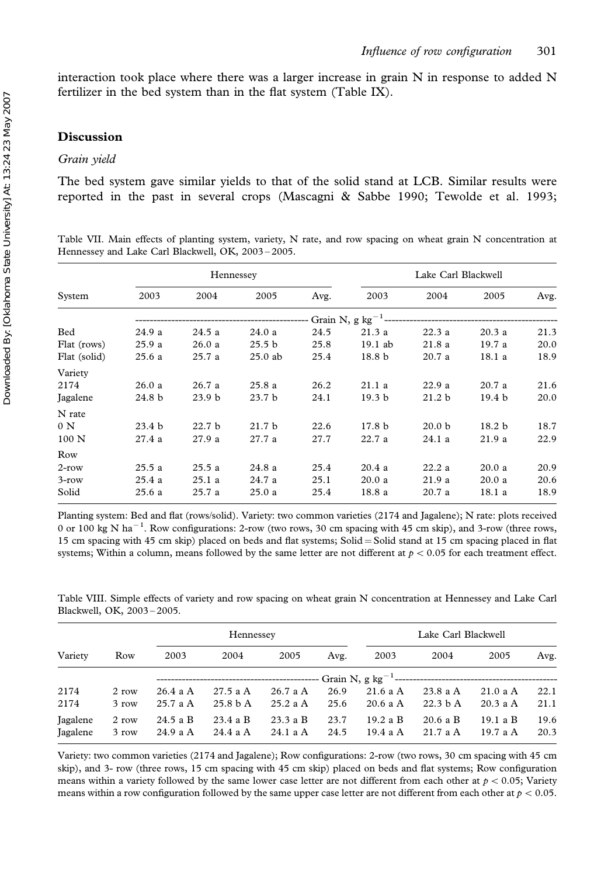interaction took place where there was a larger increase in grain N in response to added N fertilizer in the bed system than in the flat system (Table IX).

#### Discussion

#### Grain yield

The bed system gave similar yields to that of the solid stand at LCB. Similar results were reported in the past in several crops (Mascagni & Sabbe 1990; Tewolde et al. 1993;

Table VII. Main effects of planting system, variety, N rate, and row spacing on wheat grain N concentration at Hennessey and Lake Carl Blackwell, OK, 2003 – 2005.

|              |                   |                   | Hennessey         |      | Lake Carl Blackwell                         |                   |                   |      |  |  |
|--------------|-------------------|-------------------|-------------------|------|---------------------------------------------|-------------------|-------------------|------|--|--|
| System       | 2003              | 2004              | 2005              | Avg. | 2003                                        | 2004              | 2005              | Avg. |  |  |
|              |                   |                   |                   |      | Grain N, $g kg^{-1}$ ---------------------- |                   |                   |      |  |  |
| Bed          | 24.9a             | 24.5a             | 24.0a             | 24.5 | 21.3a                                       | 22.3a             | 20.3a             | 21.3 |  |  |
| Flat (rows)  | 25.9a             | 26.0a             | 25.5 <sub>b</sub> | 25.8 | $19.1$ ab                                   | 21.8a             | 19.7a             | 20.0 |  |  |
| Flat (solid) | 25.6a             | 25.7a             | $25.0$ ab         | 25.4 | 18.8 <sub>b</sub>                           | 20.7a             | 18.1a             | 18.9 |  |  |
| Variety      |                   |                   |                   |      |                                             |                   |                   |      |  |  |
| 2174         | 26.0a             | 26.7a             | 25.8a             | 26.2 | 21.1a                                       | 22.9a             | 20.7a             | 21.6 |  |  |
| Jagalene     | 24.8 b            | 23.9 <sub>b</sub> | 23.7 <sub>b</sub> | 24.1 | 19.3 <sub>b</sub>                           | 21.2 <sub>b</sub> | 19.4 <sub>b</sub> | 20.0 |  |  |
| N rate       |                   |                   |                   |      |                                             |                   |                   |      |  |  |
| 0 N          | 23.4 <sub>b</sub> | 22.7 <sub>b</sub> | 21.7 <sub>b</sub> | 22.6 | 17.8 <sub>b</sub>                           | 20.0 <sub>b</sub> | 18.2 <sub>b</sub> | 18.7 |  |  |
| 100 N        | 27.4a             | 27.9a             | 27.7a             | 27.7 | 22.7a                                       | 24.1a             | 21.9a             | 22.9 |  |  |
| Row          |                   |                   |                   |      |                                             |                   |                   |      |  |  |
| $2$ -row     | 25.5a             | 25.5a             | 24.8 a            | 25.4 | 20.4a                                       | 22.2a             | 20.0a             | 20.9 |  |  |
| $3$ -row     | 25.4a             | 25.1a             | 24.7a             | 25.1 | 20.0a                                       | 21.9a             | 20.0a             | 20.6 |  |  |
| Solid        | 25.6a             | 25.7a             | 25.0a             | 25.4 | 18.8 a                                      | 20.7a             | 18.1a             | 18.9 |  |  |

Planting system: Bed and flat (rows/solid). Variety: two common varieties (2174 and Jagalene); N rate: plots received 0 or 100 kg N ha<sup>-1</sup>. Row configurations: 2-row (two rows, 30 cm spacing with 45 cm skip), and 3-row (three rows, 15 cm spacing with 45 cm skip) placed on beds and flat systems; Solid = Solid stand at 15 cm spacing placed in flat systems; Within a column, means followed by the same letter are not different at  $p<0.05$  for each treatment effect.

Table VIII. Simple effects of variety and row spacing on wheat grain N concentration at Hennessey and Lake Carl Blackwell, OK, 2003 – 2005.

| Variety              |                |                      | Hennessey            |                    |              | Lake Carl Blackwell |                       |                    |              |  |
|----------------------|----------------|----------------------|----------------------|--------------------|--------------|---------------------|-----------------------|--------------------|--------------|--|
|                      | Row            | 2003                 | 2004                 | 2005               | Avg.         | 2003                | 2004                  | 2005               | Avg.         |  |
|                      |                |                      |                      |                    |              |                     |                       |                    |              |  |
| 2174                 | 2 row          | 26.4 a A             | 27.5 a A             | 26.7 a A           | 26.9         | $21.6$ a A          | 23.8 a A              | 21.0 a A           | 22.1         |  |
| 2174                 | 3 row          | 25.7 a A             | 25.8 b A             | 25.2 a A           | 25.6         | 20.6 a A            | 22.3 b A              | 20.3 a A           | 21.1         |  |
| Jagalene<br>Jagalene | 2 row<br>3 row | 24.5 a B<br>24.9 a A | 23.4 a B<br>24.4 a A | 23.3aB<br>24.1 a A | 23.7<br>24.5 | $19.2a$ B<br>19.4aA | $20.6a$ B<br>21.7 a A | 19.1aB<br>19.7 a A | 19.6<br>20.3 |  |

Variety: two common varieties (2174 and Jagalene); Row configurations: 2-row (two rows, 30 cm spacing with 45 cm skip), and 3- row (three rows, 15 cm spacing with 45 cm skip) placed on beds and flat systems; Row configuration means within a variety followed by the same lower case letter are not different from each other at  $p < 0.05$ ; Variety means within a row configuration followed by the same upper case letter are not different from each other at  $p < 0.05$ .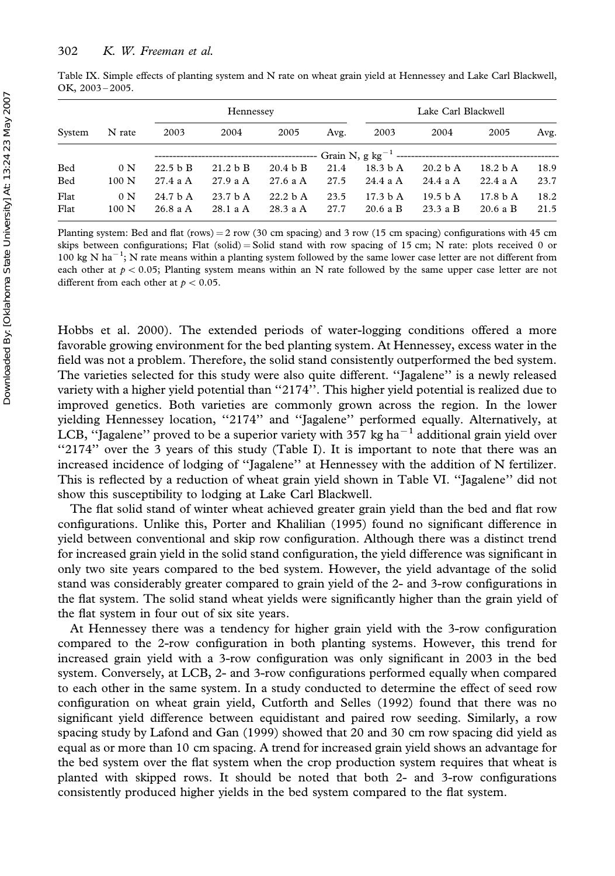|              |              |                                 | Hennessey                       |                      |              | Lake Carl Blackwell              |                               |                                  |              |
|--------------|--------------|---------------------------------|---------------------------------|----------------------|--------------|----------------------------------|-------------------------------|----------------------------------|--------------|
| System       | N rate       | 2003                            | 2004                            | 2005                 | Avg.         | 2003                             | 2004                          | 2005                             | Avg.         |
|              |              |                                 |                                 |                      |              |                                  |                               |                                  |              |
| <b>Bed</b>   | 0 N          | 22.5 b B                        | 21.2 b B                        | 20.4 b B             | 21.4         | 18.3 <sub>b</sub> A              | 20.2 <sub>b</sub> A           | 18.2 <sub>b</sub> A              | 18.9         |
| <b>Bed</b>   | 100 N        | 27.4 a A                        | 27.9 a A                        | 27.6 a A             | 27.5         | 24.4 a A                         | 24.4 a A                      | 22.4 a A                         | 23.7         |
| Flat<br>Flat | 0 N<br>100 N | 24.7 <sub>b</sub> A<br>26.8 a A | 23.7 <sub>b</sub> A<br>28.1 a A | 22.2 b A<br>28.3 a A | 23.5<br>27.7 | 17.3 <sub>b</sub> A<br>$20.6a$ B | 19.5 <sub>b</sub> A<br>23.3aB | 17.8 <sub>b</sub> A<br>$20.6a$ B | 18.2<br>21.5 |

Table IX. Simple effects of planting system and N rate on wheat grain yield at Hennessey and Lake Carl Blackwell, OK, 2003 – 2005.

Planting system: Bed and flat (rows) = 2 row (30 cm spacing) and 3 row (15 cm spacing) configurations with 45 cm skips between configurations; Flat (solid) = Solid stand with row spacing of 15 cm; N rate: plots received 0 or 100 kg N ha<sup>-1</sup>; N rate means within a planting system followed by the same lower case letter are not different from each other at  $p < 0.05$ ; Planting system means within an N rate followed by the same upper case letter are not different from each other at  $p < 0.05$ .

Hobbs et al. 2000). The extended periods of water-logging conditions offered a more favorable growing environment for the bed planting system. At Hennessey, excess water in the field was not a problem. Therefore, the solid stand consistently outperformed the bed system. The varieties selected for this study were also quite different. ''Jagalene'' is a newly released variety with a higher yield potential than "2174". This higher yield potential is realized due to improved genetics. Both varieties are commonly grown across the region. In the lower yielding Hennessey location, "2174" and "Jagalene" performed equally. Alternatively, at LCB, "Jagalene" proved to be a superior variety with 357 kg ha<sup> $-1$ </sup> additional grain yield over  $"2174"$  over the 3 years of this study (Table I). It is important to note that there was an increased incidence of lodging of ''Jagalene'' at Hennessey with the addition of N fertilizer. This is reflected by a reduction of wheat grain yield shown in Table VI. ''Jagalene'' did not show this susceptibility to lodging at Lake Carl Blackwell.

The flat solid stand of winter wheat achieved greater grain yield than the bed and flat row configurations. Unlike this, Porter and Khalilian (1995) found no significant difference in yield between conventional and skip row configuration. Although there was a distinct trend for increased grain yield in the solid stand configuration, the yield difference was significant in only two site years compared to the bed system. However, the yield advantage of the solid stand was considerably greater compared to grain yield of the 2- and 3-row configurations in the flat system. The solid stand wheat yields were significantly higher than the grain yield of the flat system in four out of six site years.

At Hennessey there was a tendency for higher grain yield with the 3-row configuration compared to the 2-row configuration in both planting systems. However, this trend for increased grain yield with a 3-row configuration was only significant in 2003 in the bed system. Conversely, at LCB, 2- and 3-row configurations performed equally when compared to each other in the same system. In a study conducted to determine the effect of seed row configuration on wheat grain yield, Cutforth and Selles (1992) found that there was no significant yield difference between equidistant and paired row seeding. Similarly, a row spacing study by Lafond and Gan (1999) showed that 20 and 30 cm row spacing did yield as equal as or more than 10 cm spacing. A trend for increased grain yield shows an advantage for the bed system over the flat system when the crop production system requires that wheat is planted with skipped rows. It should be noted that both 2- and 3-row configurations consistently produced higher yields in the bed system compared to the flat system.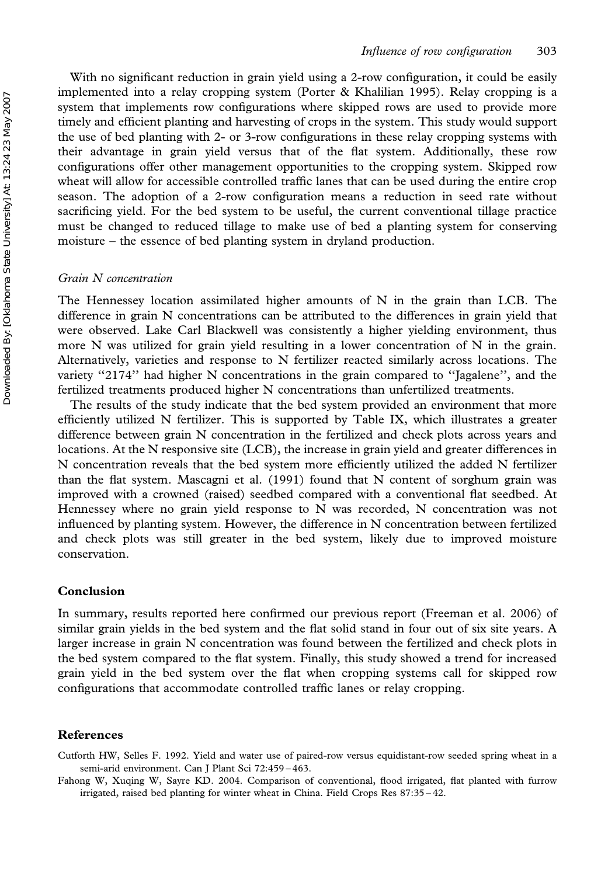With no significant reduction in grain yield using a 2-row configuration, it could be easily implemented into a relay cropping system (Porter & Khalilian 1995). Relay cropping is a system that implements row configurations where skipped rows are used to provide more timely and efficient planting and harvesting of crops in the system. This study would support the use of bed planting with 2- or 3-row configurations in these relay cropping systems with their advantage in grain yield versus that of the flat system. Additionally, these row configurations offer other management opportunities to the cropping system. Skipped row wheat will allow for accessible controlled traffic lanes that can be used during the entire crop season. The adoption of a 2-row configuration means a reduction in seed rate without sacrificing yield. For the bed system to be useful, the current conventional tillage practice must be changed to reduced tillage to make use of bed a planting system for conserving moisture – the essence of bed planting system in dryland production.

#### Grain N concentration

The Hennessey location assimilated higher amounts of  $N$  in the grain than LCB. The difference in grain N concentrations can be attributed to the differences in grain yield that were observed. Lake Carl Blackwell was consistently a higher yielding environment, thus more N was utilized for grain yield resulting in a lower concentration of N in the grain. Alternatively, varieties and response to N fertilizer reacted similarly across locations. The variety "2174" had higher N concentrations in the grain compared to "Jagalene", and the fertilized treatments produced higher N concentrations than unfertilized treatments.

The results of the study indicate that the bed system provided an environment that more efficiently utilized N fertilizer. This is supported by Table IX, which illustrates a greater difference between grain N concentration in the fertilized and check plots across years and locations. At the N responsive site (LCB), the increase in grain yield and greater differences in N concentration reveals that the bed system more efficiently utilized the added N fertilizer than the flat system. Mascagni et al. (1991) found that N content of sorghum grain was improved with a crowned (raised) seedbed compared with a conventional flat seedbed. At Hennessey where no grain yield response to N was recorded, N concentration was not influenced by planting system. However, the difference in N concentration between fertilized and check plots was still greater in the bed system, likely due to improved moisture conservation.

## Conclusion

In summary, results reported here confirmed our previous report (Freeman et al. 2006) of similar grain yields in the bed system and the flat solid stand in four out of six site years. A larger increase in grain N concentration was found between the fertilized and check plots in the bed system compared to the flat system. Finally, this study showed a trend for increased grain yield in the bed system over the flat when cropping systems call for skipped row configurations that accommodate controlled traffic lanes or relay cropping.

#### References

Cutforth HW, Selles F. 1992. Yield and water use of paired-row versus equidistant-row seeded spring wheat in a semi-arid environment. Can J Plant Sci 72:459 – 463.

Fahong W, Xuqing W, Sayre KD. 2004. Comparison of conventional, flood irrigated, flat planted with furrow irrigated, raised bed planting for winter wheat in China. Field Crops Res 87:35 – 42.